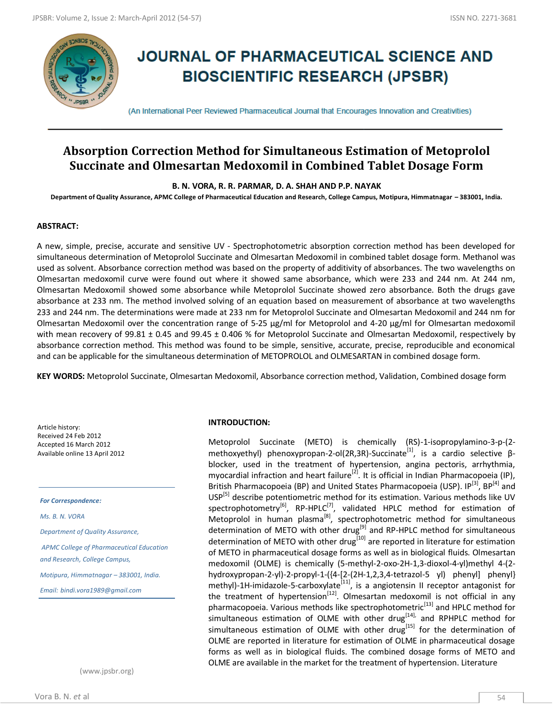

# **JOURNAL OF PHARMACEUTICAL SCIENCE AND BIOSCIENTIFIC RESEARCH (JPSBR)**

(An International Peer Reviewed Pharmaceutical Journal that Encourages Innovation and Creativities)

# **Absorption Correction Method for Simultaneous Estimation of Metoprolol Succinate and Olmesartan Medoxomil in Combined Tablet Dosage Form**

**B. N. VORA, R. R. PARMAR, D. A. SHAH AND P.P. NAYAK**

**Department of Quality Assurance, APMC College of Pharmaceutical Education and Research, College Campus, Motipura, Himmatnagar – 383001, India.**

## **ABSTRACT:**

A new, simple, precise, accurate and sensitive UV ‐ Spectrophotometric absorption correction method has been developed for simultaneous determination of Metoprolol Succinate and Olmesartan Medoxomil in combined tablet dosage form. Methanol was used as solvent. Absorbance correction method was based on the property of additivity of absorbances. The two wavelengths on Olmesartan medoxomil curve were found out where it showed same absorbance, which were 233 and 244 nm. At 244 nm, Olmesartan Medoxomil showed some absorbance while Metoprolol Succinate showed zero absorbance. Both the drugs gave absorbance at 233 nm. The method involved solving of an equation based on measurement of absorbance at two wavelengths 233 and 244 nm. The determinations were made at 233 nm for Metoprolol Succinate and Olmesartan Medoxomil and 244 nm for Olmesartan Medoxomil over the concentration range of 5-25 µg/ml for Metoprolol and 4-20 µg/ml for Olmesartan medoxomil with mean recovery of 99.81 ± 0.45 and 99.45 ± 0.406 % for Metoprolol Succinate and Olmesartan Medoxomil, respectively by absorbance correction method. This method was found to be simple, sensitive, accurate, precise, reproducible and economical and can be applicable for the simultaneous determination of METOPROLOL and OLMESARTAN in combined dosage form.

**KEY WORDS:** Metoprolol Succinate, Olmesartan Medoxomil, Absorbance correction method, Validation, Combined dosage form

Article history: Received 24 Feb 2012 Accepted 16 March 2012 Available online 13 April 2012

*For Correspondence:*

*Ms. B. N. VORA* 

*Department of Quality Assurance,*

*APMC College of Pharmaceutical Education and Research, College Campus,* 

*Motipura, Himmatnagar – 383001, India.*

*Email: bindi.vora1989@gmail.com*

(www.jpsbr.org)

#### **INTRODUCTION:**

Metoprolol Succinate (METO) is chemically (RS)-1-isopropylamino-3-p-(2 methoxyethyl) phenoxypropan-2-ol(2R,3R)-Succinate<sup>[1]</sup>, is a cardio selective βblocker, used in the treatment of hypertension, angina pectoris, arrhythmia, myocardial infraction and heart failure<sup>[2]</sup>. It is official in Indian Pharmacopoeia (IP), British Pharmacopoeia (BP) and United States Pharmacopoeia (USP). IP<sup>[3]</sup>, BP<sup>[4]</sup> and USP<sup>[5]</sup> describe potentiometric method for its estimation. Various methods like UV spectrophotometry<sup>[6]</sup>, RP-HPLC<sup>[7]</sup>, validated HPLC method for estimation of Metoprolol in human plasma<sup>[8]</sup>, spectrophotometric method for simultaneous determination of METO with other drug<sup>[9]</sup> and RP-HPLC method for simultaneous determination of METO with other drug<sup>[10]</sup> are reported in literature for estimation of METO in pharmaceutical dosage forms as well as in biological fluids. Olmesartan medoxomil (OLME) is chemically (5-methyl-2-oxo-2H-1,3-dioxol-4-yl)methyl 4-(2 hydroxypropan-2-yl)-2-propyl-1-({4-[2-(2H-1,2,3,4-tetrazol-5 yl) phenyl] phenyl} methyl)-1H-imidazole-5-carboxylate<sup>[11]</sup>, is a angiotensin II receptor antagonist for the treatment of hypertension<sup>[12]</sup>. Olmesartan medoxomil is not official in any pharmacopoeia. Various methods like spectrophotometric<sup>[13]</sup> and HPLC method for simultaneous estimation of OLME with other drug<sup>[14],</sup> and RPHPLC method for simultaneous estimation of OLME with other drug<sup>[15]</sup> for the determination of OLME are reported in literature for estimation of OLME in pharmaceutical dosage forms as well as in biological fluids. The combined dosage forms of METO and OLME are available in the market for the treatment of hypertension. Literature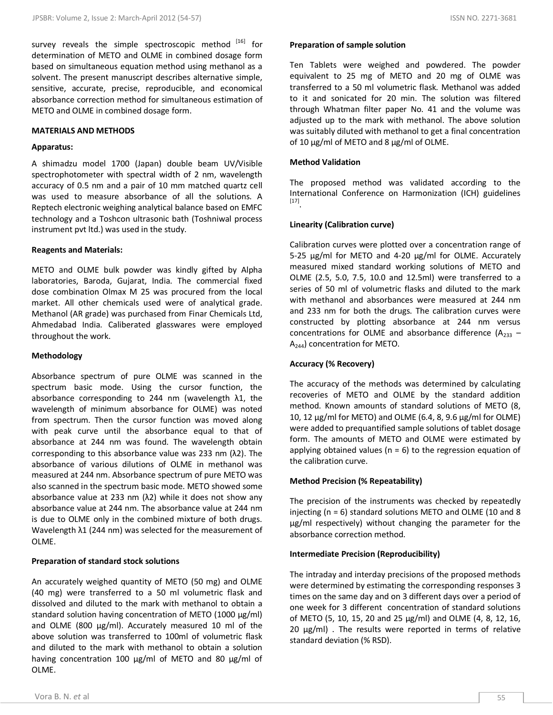survey reveals the simple spectroscopic method [16] for determination of METO and OLME in combined dosage form based on simultaneous equation method using methanol as a solvent. The present manuscript describes alternative simple, sensitive, accurate, precise, reproducible, and economical absorbance correction method for simultaneous estimation of METO and OLME in combined dosage form.

#### **MATERIALS AND METHODS**

## **Apparatus:**

A shimadzu model 1700 (Japan) double beam UV/Visible spectrophotometer with spectral width of 2 nm, wavelength accuracy of 0.5 nm and a pair of 10 mm matched quartz cell was used to measure absorbance of all the solutions. A Reptech electronic weighing analytical balance based on EMFC technology and a Toshcon ultrasonic bath (Toshniwal process instrument pvt ltd.) was used in the study.

#### **Reagents and Materials:**

METO and OLME bulk powder was kindly gifted by Alpha laboratories, Baroda, Gujarat, India. The commercial fixed dose combination Olmax M 25 was procured from the local market. All other chemicals used were of analytical grade. Methanol (AR grade) was purchased from Finar Chemicals Ltd, Ahmedabad India. Caliberated glasswares were employed throughout the work.

#### **Methodology**

Absorbance spectrum of pure OLME was scanned in the spectrum basic mode. Using the cursor function, the absorbance corresponding to 244 nm (wavelength  $\lambda$ 1, the wavelength of minimum absorbance for OLME) was noted from spectrum. Then the cursor function was moved along with peak curve until the absorbance equal to that of absorbance at 244 nm was found. The wavelength obtain corresponding to this absorbance value was 233 nm (λ2). The absorbance of various dilutions of OLME in methanol was measured at 244 nm. Absorbance spectrum of pure METO was also scanned in the spectrum basic mode. METO showed some absorbance value at 233 nm  $(λ2)$  while it does not show any absorbance value at 244 nm. The absorbance value at 244 nm is due to OLME only in the combined mixture of both drugs. Wavelength λ1 (244 nm) was selected for the measurement of OLME.

# **Preparation of standard stock solutions**

An accurately weighed quantity of METO (50 mg) and OLME (40 mg) were transferred to a 50 ml volumetric flask and dissolved and diluted to the mark with methanol to obtain a standard solution having concentration of METO (1000 μg/ml) and OLME (800 μg/ml). Accurately measured 10 ml of the above solution was transferred to 100ml of volumetric flask and diluted to the mark with methanol to obtain a solution having concentration 100 μg/ml of METO and 80 μg/ml of OLME.

#### **Preparation of sample solution**

Ten Tablets were weighed and powdered. The powder equivalent to 25 mg of METO and 20 mg of OLME was transferred to a 50 ml volumetric flask. Methanol was added to it and sonicated for 20 min. The solution was filtered through Whatman filter paper No. 41 and the volume was adjusted up to the mark with methanol. The above solution was suitably diluted with methanol to get a final concentration of 10 μg/ml of METO and 8 μg/ml of OLME.

# **Method Validation**

The proposed method was validated according to the International Conference on Harmonization (ICH) guidelines [17] .

## **Linearity (Calibration curve)**

Calibration curves were plotted over a concentration range of 5-25 µg/ml for METO and 4-20 µg/ml for OLME. Accurately measured mixed standard working solutions of METO and OLME (2.5, 5.0, 7.5, 10.0 and 12.5ml) were transferred to a series of 50 ml of volumetric flasks and diluted to the mark with methanol and absorbances were measured at 244 nm and 233 nm for both the drugs. The calibration curves were constructed by plotting absorbance at 244 nm versus concentrations for OLME and absorbance difference ( $A_{233}$  – A244) concentration for METO.

# **Accuracy (% Recovery)**

The accuracy of the methods was determined by calculating recoveries of METO and OLME by the standard addition method. Known amounts of standard solutions of METO (8, 10, 12  $\mu$ g/ml for METO) and OLME (6.4, 8, 9.6  $\mu$ g/ml for OLME) were added to prequantified sample solutions of tablet dosage form. The amounts of METO and OLME were estimated by applying obtained values ( $n = 6$ ) to the regression equation of the calibration curve.

# **Method Precision (% Repeatability)**

The precision of the instruments was checked by repeatedly injecting ( $n = 6$ ) standard solutions METO and OLME (10 and 8) µg/ml respectively) without changing the parameter for the absorbance correction method.

# **Intermediate Precision (Reproducibility)**

The intraday and interday precisions of the proposed methods were determined by estimating the corresponding responses 3 times on the same day and on 3 different days over a period of one week for 3 different concentration of standard solutions of METO (5, 10, 15, 20 and 25 µg/ml) and OLME (4, 8, 12, 16, 20 µg/ml) . The results were reported in terms of relative standard deviation (% RSD).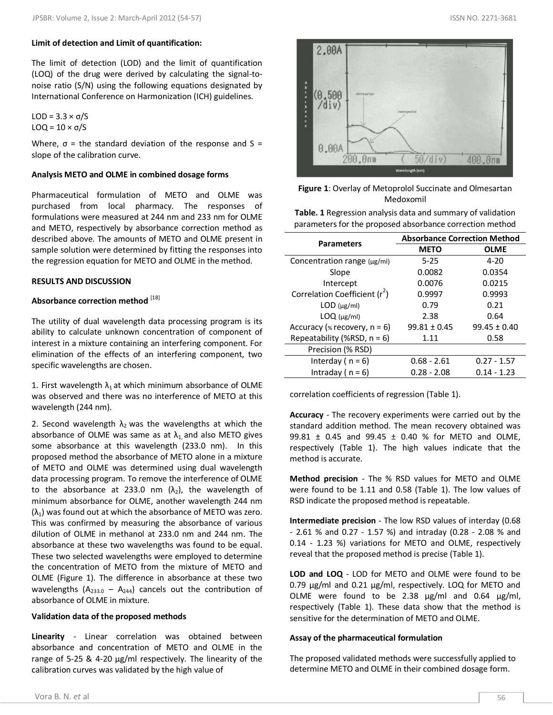#### **Limit of detection and Limit of quantification:**

The limit of detection (LOD) and the limit of quantification (LOQ) of the drug were derived by calculating the signal-tonoise ratio (S/N) using the following equations designated by International Conference on Harmonization (ICH) guidelines.

LOD = 3.3 × σ/S LOQ =  $10 \times σ/S$ 

Where,  $\sigma$  = the standard deviation of the response and S = slope of the calibration curve.

#### **Analysis METO and OLME in combined dosage forms**

Pharmaceutical formulation of METO and OLME was purchased from local pharmacy. The responses of formulations were measured at 244 nm and 233 nm for OLME and METO, respectively by absorbance correction method as described above. The amounts of METO and OLME present in sample solution were determined by fitting the responses into the regression equation for METO and OLME in the method.

#### **RESULTS AND DISCUSSION**

# **Absorbance correction method** [18]

The utility of dual wavelength data processing program is its ability to calculate unknown concentration of component of interest in a mixture containing an interfering component. For elimination of the effects of an interfering component, two specific wavelengths are chosen.

1. First wavelength  $\lambda_1$  at which minimum absorbance of OLME was observed and there was no interference of METO at this wavelength (244 nm).

2. Second wavelength  $\lambda_2$  was the wavelengths at which the absorbance of OLME was same as at  $\lambda_1$  and also METO gives some absorbance at this wavelength (233.0 nm). In this proposed method the absorbance of METO alone in a mixture of METO and OLME was determined using dual wavelength data processing program. To remove the interference of OLME to the absorbance at 233.0 nm  $(\lambda_2)$ , the wavelength of minimum absorbance for OLME, another wavelength 244 nm  $(\lambda_1)$  was found out at which the absorbance of METO was zero. This was confirmed by measuring the absorbance of various dilution of OLME in methanol at 233.0 nm and 244 nm. The absorbance at these two wavelengths was found to be equal. These two selected wavelengths were employed to determine the concentration of METO from the mixture of METO and OLME (Figure 1). The difference in absorbance at these two wavelengths ( $A_{233.0} - A_{244}$ ) cancels out the contribution of absorbance of OLME in mixture.

#### **Validation data of the proposed methods**

**Linearity** *-* Linear correlation was obtained between absorbance and concentration of METO and OLME in the range of 5-25 & 4-20 µg/ml respectively. The linearity of the calibration curves was validated by the high value of



# **Figure 1**: Overlay of Metoprolol Succinate and Olmesartan Medoxomil

**Table. 1** Regression analysis data and summary of validation parameters for the proposed absorbance correction method

| <b>Parameters</b>                         | <b>Absorbance Correction Method</b> |                  |
|-------------------------------------------|-------------------------------------|------------------|
|                                           | <b>METO</b>                         | <b>OLME</b>      |
| Concentration range $(\mu g/ml)$          | $5 - 25$                            | $4 - 20$         |
| Slope                                     | 0.0082                              | 0.0354           |
| Intercept                                 | 0.0076                              | 0.0215           |
| Correlation Coefficient (r <sup>2</sup> ) | 0.9997                              | 0.9993           |
| $LOD$ ( $\mu$ g/ml)                       | 0.79                                | 0.21             |
| $LOQ$ ( $\mu$ g/ml)                       | 2.38                                | 0.64             |
| Accuracy ( $\ast$ recovery, $n = 6$ )     | $99.81 \pm 0.45$                    | $99.45 \pm 0.40$ |
| Repeatability (%RSD, $n = 6$ )            | 1.11                                | 0.58             |
| Precision (% RSD)                         |                                     |                  |
| Interday ( $n = 6$ )                      | $0.68 - 2.61$                       | $0.27 - 1.57$    |
| Intraday ( $n = 6$ )                      | $0.28 - 2.08$                       | $0.14 - 1.23$    |

correlation coefficients of regression (Table 1).

**Accuracy** *-* The recovery experiments were carried out by the standard addition method. The mean recovery obtained was 99.81 ± 0.45 and 99.45 ± 0.40 % for METO and OLME, respectively (Table 1). The high values indicate that the method is accurate.

**Method precision** *-* The % RSD values for METO and OLME were found to be 1.11 and 0.58 (Table 1). The low values of RSD indicate the proposed method is repeatable.

**Intermediate precision** *-* The low RSD values of interday (0.68 - 2.61 % and 0.27 - 1.57 %) and intraday (0.28 - 2.08 % and 0.14 - 1.23 %) variations for METO and OLME, respectively reveal that the proposed method is precise (Table 1).

**LOD and LOQ** *-* LOD for METO and OLME were found to be 0.79 µg/ml and 0.21 µg/ml, respectively. LOQ for METO and OLME were found to be 2.38 µg/ml and 0.64 µg/ml, respectively (Table 1). These data show that the method is sensitive for the determination of METO and OLME.

#### **Assay of the pharmaceutical formulation**

The proposed validated methods were successfully applied to determine METO and OLME in their combined dosage form.